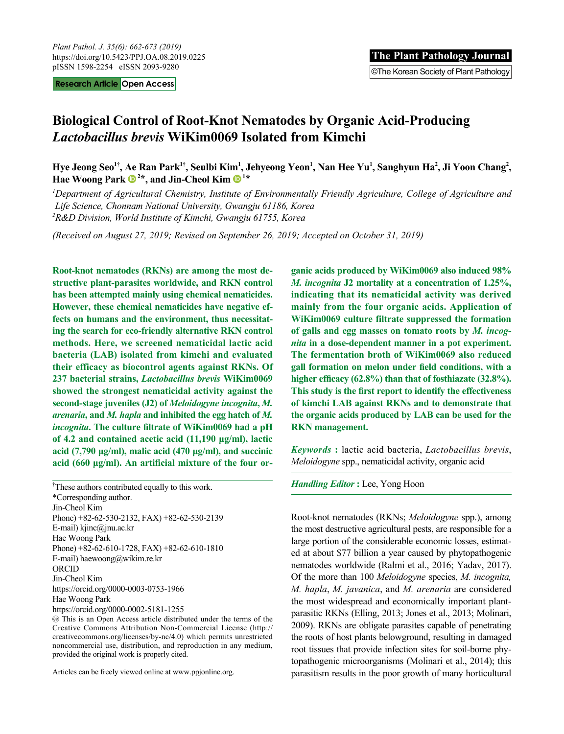**Research Article Open Access**

# **Biological Control of Root-Knot Nematodes by Organic Acid-Producing**  *Lactobacillus brevis* **WiKim0069 Isolated from Kimchi**

Hye Jeong Seo<sup>1†</sup>, Ae Ran Park<sup>1†</sup>, Seulbi Kim<sup>1</sup>, Jehyeong Yeon<sup>1</sup>, Nan Hee Yu<sup>1</sup>, Sanghyun Ha<sup>2</sup>, Ji Yoon Chang<sup>2</sup>, Hae Woong Park  $\mathbf{D}^{2*}$ , and Jin-Cheol Kim  $\mathbf{D}^{1*}$ 

*1 Department of Agricultural Chemistry, Institute of Environmentally Friendly Agriculture, College of Agriculture and Life Science, Chonnam National University, Gwangju 61186, Korea 2 R&D Division, World Institute of Kimchi, Gwangju 61755, Korea*

*(Received on August 27, 2019; Revised on September 26, 2019; Accepted on October 31, 2019)*

**Root-knot nematodes (RKNs) are among the most destructive plant-parasites worldwide, and RKN control has been attempted mainly using chemical nematicides. However, these chemical nematicides have negative effects on humans and the environment, thus necessitating the search for eco-friendly alternative RKN control methods. Here, we screened nematicidal lactic acid bacteria (LAB) isolated from kimchi and evaluated their efficacy as biocontrol agents against RKNs. Of 237 bacterial strains,** *Lactobacillus brevis* **WiKim0069 showed the strongest nematicidal activity against the second-stage juveniles (J2) of** *Meloidogyne incognita***,** *M. arenaria***, and** *M. hapla* **and inhibited the egg hatch of** *M. incognita***. The culture filtrate of WiKim0069 had a pH of 4.2 and contained acetic acid (11,190 μg/ml), lactic acid (7,790 μg/ml), malic acid (470 μg/ml), and succinic acid (660 μg/ml). An artificial mixture of the four or-**

† These authors contributed equally to this work. \*Corresponding author. Jin-Cheol Kim Phone) +82-62-530-2132, FAX) +82-62-530-2139 E-mail) kjinc@jnu.ac.kr Hae Woong Park Phone) +82-62-610-1728, FAX) +82-62-610-1810 E-mail) haewoong@wikim.re.kr ORCID Jin-Cheol Kim https://orcid.org/0000-0003-0753-1966 Hae Woong Park https://orcid.org/0000-0002-5181-1255

 This is an Open Access article distributed under the terms of the Creative Commons Attribution Non-Commercial License (http:// creativecommons.org/licenses/by-nc/4.0) which permits unrestricted noncommercial use, distribution, and reproduction in any medium, provided the original work is properly cited.

Articles can be freely viewed online at www.ppjonline.org.

**ganic acids produced by WiKim0069 also induced 98%**  *M. incognita* **J2 mortality at a concentration of 1.25%, indicating that its nematicidal activity was derived mainly from the four organic acids. Application of WiKim0069 culture filtrate suppressed the formation of galls and egg masses on tomato roots by** *M. incognita* **in a dose-dependent manner in a pot experiment. The fermentation broth of WiKim0069 also reduced gall formation on melon under field conditions, with a higher efficacy (62.8%) than that of fosthiazate (32.8%). This study is the first report to identify the effectiveness of kimchi LAB against RKNs and to demonstrate that the organic acids produced by LAB can be used for the RKN management.**

*Keywords* **:** lactic acid bacteria, *Lactobacillus brevis*, *Meloidogyne* spp., nematicidal activity, organic acid

#### *Handling Editor* **:** Lee, Yong Hoon

Root-knot nematodes (RKNs; *Meloidogyne* spp.), among the most destructive agricultural pests, are responsible for a large portion of the considerable economic losses, estimated at about \$77 billion a year caused by phytopathogenic nematodes worldwide (Ralmi et al., 2016; Yadav, 2017). Of the more than 100 *Meloidogyne* species, *M. incognita, M. hapla*, *M. javanica*, and *M. arenaria* are considered the most widespread and economically important plantparasitic RKNs (Elling, 2013; Jones et al., 2013; Molinari, 2009). RKNs are obligate parasites capable of penetrating the roots of host plants belowground, resulting in damaged root tissues that provide infection sites for soil-borne phytopathogenic microorganisms (Molinari et al., 2014); this parasitism results in the poor growth of many horticultural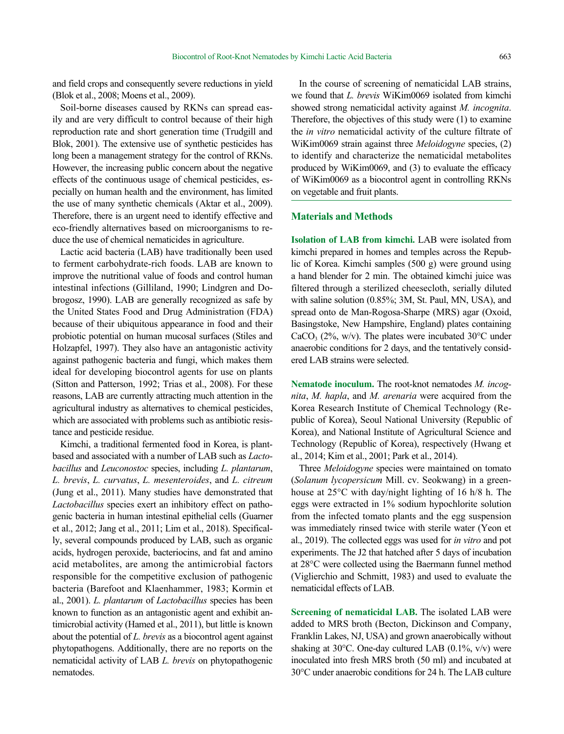and field crops and consequently severe reductions in yield (Blok et al., 2008; Moens et al., 2009).

Soil-borne diseases caused by RKNs can spread easily and are very difficult to control because of their high reproduction rate and short generation time (Trudgill and Blok, 2001). The extensive use of synthetic pesticides has long been a management strategy for the control of RKNs. However, the increasing public concern about the negative effects of the continuous usage of chemical pesticides, especially on human health and the environment, has limited the use of many synthetic chemicals (Aktar et al., 2009). Therefore, there is an urgent need to identify effective and eco-friendly alternatives based on microorganisms to reduce the use of chemical nematicides in agriculture.

Lactic acid bacteria (LAB) have traditionally been used to ferment carbohydrate-rich foods. LAB are known to improve the nutritional value of foods and control human intestinal infections (Gilliland, 1990; Lindgren and Dobrogosz, 1990). LAB are generally recognized as safe by the United States Food and Drug Administration (FDA) because of their ubiquitous appearance in food and their probiotic potential on human mucosal surfaces (Stiles and Holzapfel, 1997). They also have an antagonistic activity against pathogenic bacteria and fungi, which makes them ideal for developing biocontrol agents for use on plants (Sitton and Patterson, 1992; Trias et al., 2008). For these reasons, LAB are currently attracting much attention in the agricultural industry as alternatives to chemical pesticides, which are associated with problems such as antibiotic resistance and pesticide residue.

Kimchi, a traditional fermented food in Korea, is plantbased and associated with a number of LAB such as *Lactobacillus* and *Leuconostoc* species, including *L. plantarum*, *L. brevis*, *L. curvatus*, *L. mesenteroides*, and *L. citreum*  (Jung et al., 2011). Many studies have demonstrated that *Lactobacillus* species exert an inhibitory effect on pathogenic bacteria in human intestinal epithelial cells (Guarner et al., 2012; Jang et al., 2011; Lim et al., 2018). Specifically, several compounds produced by LAB, such as organic acids, hydrogen peroxide, bacteriocins, and fat and amino acid metabolites, are among the antimicrobial factors responsible for the competitive exclusion of pathogenic bacteria (Barefoot and Klaenhammer, 1983; Kormin et al., 2001). *L. plantarum* of *Lactobacillus* species has been known to function as an antagonistic agent and exhibit antimicrobial activity (Hamed et al., 2011), but little is known about the potential of *L. brevis* as a biocontrol agent against phytopathogens. Additionally, there are no reports on the nematicidal activity of LAB *L. brevis* on phytopathogenic nematodes.

In the course of screening of nematicidal LAB strains, we found that *L. brevis* WiKim0069 isolated from kimchi showed strong nematicidal activity against *M. incognita*. Therefore, the objectives of this study were (1) to examine the *in vitro* nematicidal activity of the culture filtrate of WiKim0069 strain against three *Meloidogyne* species, (2) to identify and characterize the nematicidal metabolites produced by WiKim0069, and (3) to evaluate the efficacy of WiKim0069 as a biocontrol agent in controlling RKNs on vegetable and fruit plants.

### **Materials and Methods**

**Isolation of LAB from kimchi.** LAB were isolated from kimchi prepared in homes and temples across the Republic of Korea. Kimchi samples (500 g) were ground using a hand blender for 2 min. The obtained kimchi juice was filtered through a sterilized cheesecloth, serially diluted with saline solution (0.85%; 3M, St. Paul, MN, USA), and spread onto de Man-Rogosa-Sharpe (MRS) agar (Oxoid, Basingstoke, New Hampshire, England) plates containing CaCO<sub>3</sub> (2%, w/v). The plates were incubated 30 $\degree$ C under anaerobic conditions for 2 days, and the tentatively considered LAB strains were selected.

**Nematode inoculum.** The root-knot nematodes *M. incognita*, *M. hapla*, and *M. arenaria* were acquired from the Korea Research Institute of Chemical Technology (Republic of Korea), Seoul National University (Republic of Korea), and National Institute of Agricultural Science and Technology (Republic of Korea), respectively (Hwang et al., 2014; Kim et al., 2001; Park et al., 2014).

Three *Meloidogyne* species were maintained on tomato (*Solanum lycopersicum* Mill. cv. Seokwang) in a greenhouse at 25°C with day/night lighting of 16 h/8 h. The eggs were extracted in 1% sodium hypochlorite solution from the infected tomato plants and the egg suspension was immediately rinsed twice with sterile water (Yeon et al., 2019). The collected eggs was used for *in vitro* and pot experiments. The J2 that hatched after 5 days of incubation at 28°C were collected using the Baermann funnel method (Viglierchio and Schmitt, 1983) and used to evaluate the nematicidal effects of LAB.

**Screening of nematicidal LAB.** The isolated LAB were added to MRS broth (Becton, Dickinson and Company, Franklin Lakes, NJ, USA) and grown anaerobically without shaking at 30 $^{\circ}$ C. One-day cultured LAB (0.1%, v/v) were inoculated into fresh MRS broth (50 ml) and incubated at 30°C under anaerobic conditions for 24 h. The LAB culture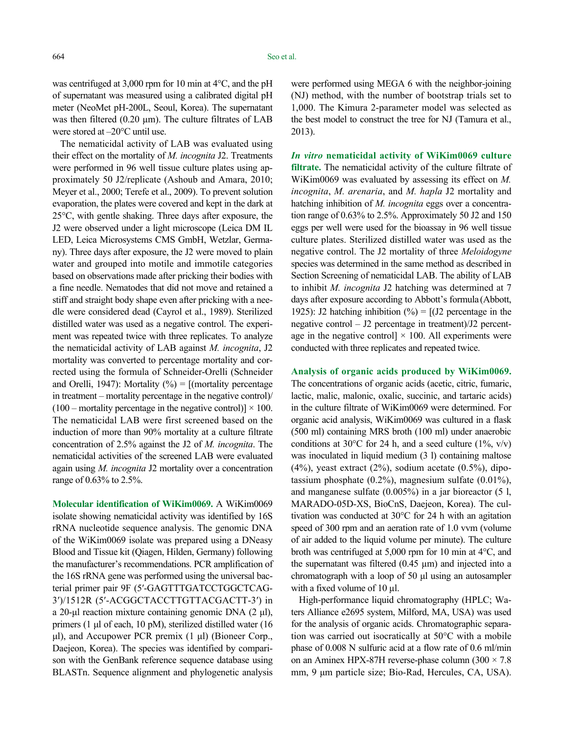was centrifuged at 3,000 rpm for 10 min at 4°C, and the pH of supernatant was measured using a calibrated digital pH meter (NeoMet pH-200L, Seoul, Korea). The supernatant was then filtered  $(0.20 \mu m)$ . The culture filtrates of LAB were stored at –20°C until use.

The nematicidal activity of LAB was evaluated using their effect on the mortality of *M. incognita* J2. Treatments were performed in 96 well tissue culture plates using approximately 50 J2/replicate (Ashoub and Amara, 2010; Meyer et al., 2000; Terefe et al., 2009). To prevent solution evaporation, the plates were covered and kept in the dark at 25°C, with gentle shaking. Three days after exposure, the J2 were observed under a light microscope (Leica DM IL LED, Leica Microsystems CMS GmbH, Wetzlar, Germany). Three days after exposure, the J2 were moved to plain water and grouped into motile and immotile categories based on observations made after pricking their bodies with a fine needle. Nematodes that did not move and retained a stiff and straight body shape even after pricking with a needle were considered dead (Cayrol et al., 1989). Sterilized distilled water was used as a negative control. The experiment was repeated twice with three replicates. To analyze the nematicidal activity of LAB against *M. incognita*, J2 mortality was converted to percentage mortality and corrected using the formula of Schneider-Orelli (Schneider and Orelli, 1947): Mortality  $(\%) = [$ (mortality percentage in treatment – mortality percentage in the negative control)/  $(100 -$  mortality percentage in the negative control)]  $\times$  100. The nematicidal LAB were first screened based on the induction of more than 90% mortality at a culture filtrate concentration of 2.5% against the J2 of *M. incognita*. The nematicidal activities of the screened LAB were evaluated again using *M. incognita* J2 mortality over a concentration range of 0.63% to 2.5%.

**Molecular identification of WiKim0069.** A WiKim0069 isolate showing nematicidal activity was identified by 16S rRNA nucleotide sequence analysis. The genomic DNA of the WiKim0069 isolate was prepared using a DNeasy Blood and Tissue kit (Qiagen, Hilden, Germany) following the manufacturer's recommendations. PCR amplification of the 16S rRNA gene was performed using the universal bacterial primer pair 9F (5ʹ-GAGTTTGATCCTGGCTCAG-3ʹ)/1512R (5ʹ-ACGGCTACCTTGTTACGACTT-3ʹ) in a 20-μl reaction mixture containing genomic DNA (2 μl), primers (1 μl of each, 10 pM), sterilized distilled water (16 μl), and Accupower PCR premix (1 μl) (Bioneer Corp., Daejeon, Korea). The species was identified by comparison with the GenBank reference sequence database using BLASTn. Sequence alignment and phylogenetic analysis

were performed using MEGA 6 with the neighbor-joining (NJ) method, with the number of bootstrap trials set to 1,000. The Kimura 2-parameter model was selected as the best model to construct the tree for NJ (Tamura et al., 2013).

*In vitro* **nematicidal activity of WiKim0069 culture filtrate.** The nematicidal activity of the culture filtrate of WiKim0069 was evaluated by assessing its effect on *M. incognita*, *M. arenaria*, and *M. hapla* J2 mortality and hatching inhibition of *M. incognita* eggs over a concentration range of 0.63% to 2.5%. Approximately 50 J2 and 150 eggs per well were used for the bioassay in 96 well tissue culture plates. Sterilized distilled water was used as the negative control. The J2 mortality of three *Meloidogyne* species was determined in the same method as described in Section Screening of nematicidal LAB. The ability of LAB to inhibit *M. incognita* J2 hatching was determined at 7 days after exposure according to Abbott's formula (Abbott, 1925): J2 hatching inhibition  $(\% ) = [(J2 \text{ percentage in the})]$ negative control – J2 percentage in treatment)/J2 percentage in the negative control]  $\times$  100. All experiments were conducted with three replicates and repeated twice.

#### **Analysis of organic acids produced by WiKim0069.**

The concentrations of organic acids (acetic, citric, fumaric, lactic, malic, malonic, oxalic, succinic, and tartaric acids) in the culture filtrate of WiKim0069 were determined. For organic acid analysis, WiKim0069 was cultured in a flask (500 ml) containing MRS broth (100 ml) under anaerobic conditions at 30 $\degree$ C for 24 h, and a seed culture (1%, v/v) was inoculated in liquid medium (3 l) containing maltose (4%), yeast extract (2%), sodium acetate (0.5%), dipotassium phosphate (0.2%), magnesium sulfate (0.01%), and manganese sulfate (0.005%) in a jar bioreactor (5 l, MARADO-05D-XS, BioCnS, Daejeon, Korea). The cultivation was conducted at 30°C for 24 h with an agitation speed of 300 rpm and an aeration rate of 1.0 vvm (volume of air added to the liquid volume per minute). The culture broth was centrifuged at 5,000 rpm for 10 min at 4°C, and the supernatant was filtered  $(0.45 \mu m)$  and injected into a chromatograph with a loop of 50 μl using an autosampler with a fixed volume of 10  $\mu$ l.

High-performance liquid chromatography (HPLC; Waters Alliance e2695 system, Milford, MA, USA) was used for the analysis of organic acids. Chromatographic separation was carried out isocratically at 50°C with a mobile phase of 0.008 N sulfuric acid at a flow rate of 0.6 ml/min on an Aminex HPX-87H reverse-phase column  $(300 \times 7.8)$ mm, 9 μm particle size; Bio-Rad, Hercules, CA, USA).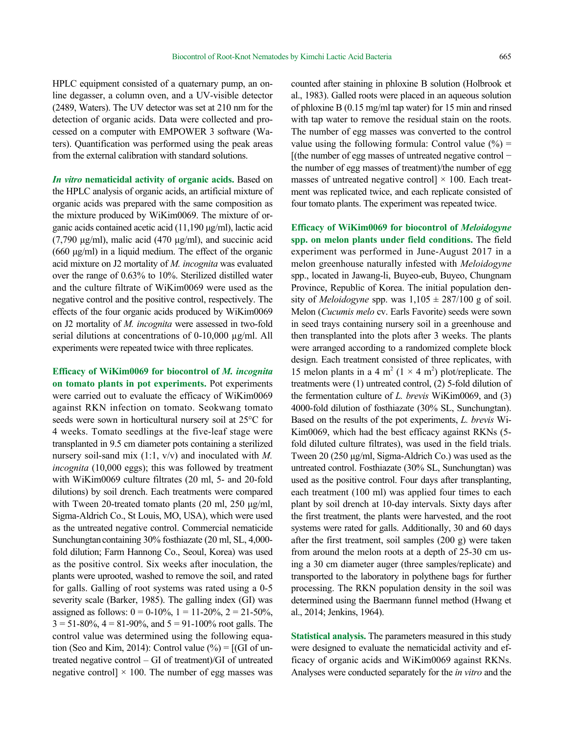HPLC equipment consisted of a quaternary pump, an online degasser, a column oven, and a UV-visible detector (2489, Waters). The UV detector was set at 210 nm for the detection of organic acids. Data were collected and processed on a computer with EMPOWER 3 software (Waters). Quantification was performed using the peak areas from the external calibration with standard solutions.

*In vitro* **nematicidal activity of organic acids.** Based on the HPLC analysis of organic acids, an artificial mixture of organic acids was prepared with the same composition as the mixture produced by WiKim0069. The mixture of organic acids contained acetic acid (11,190 μg/ml), lactic acid (7,790 μg/ml), malic acid (470 μg/ml), and succinic acid (660 μg/ml) in a liquid medium. The effect of the organic acid mixture on J2 mortality of *M. incognita* was evaluated over the range of 0.63% to 10%. Sterilized distilled water and the culture filtrate of WiKim0069 were used as the negative control and the positive control, respectively. The effects of the four organic acids produced by WiKim0069 on J2 mortality of *M. incognita* were assessed in two-fold serial dilutions at concentrations of 0-10,000 µg/ml. All experiments were repeated twice with three replicates.

**Efficacy of WiKim0069 for biocontrol of** *M. incognita* **on tomato plants in pot experiments.** Pot experiments were carried out to evaluate the efficacy of WiKim0069 against RKN infection on tomato. Seokwang tomato seeds were sown in horticultural nursery soil at 25°C for 4 weeks. Tomato seedlings at the five-leaf stage were transplanted in 9.5 cm diameter pots containing a sterilized nursery soil-sand mix (1:1, v/v) and inoculated with *M. incognita* (10,000 eggs); this was followed by treatment with WiKim0069 culture filtrates (20 ml, 5- and 20-fold dilutions) by soil drench. Each treatments were compared with Tween 20-treated tomato plants (20 ml, 250 μg/ml, Sigma-Aldrich Co., St Louis, MO, USA), which were used as the untreated negative control. Commercial nematicide Sunchungtan containing 30% fosthiazate (20 ml, SL, 4,000fold dilution; Farm Hannong Co., Seoul, Korea) was used as the positive control. Six weeks after inoculation, the plants were uprooted, washed to remove the soil, and rated for galls. Galling of root systems was rated using a 0-5 severity scale (Barker, 1985). The galling index (GI) was assigned as follows:  $0 = 0.10\%$ ,  $1 = 11-20\%$ ,  $2 = 21-50\%$ ,  $3 = 51-80\%, 4 = 81-90\%, \text{ and } 5 = 91-100\% \text{ root gallons.}$  The control value was determined using the following equation (Seo and Kim, 2014): Control value  $(\% ) = [(\text{GI of un-}$ treated negative control – GI of treatment)/GI of untreated negative control]  $\times$  100. The number of egg masses was

counted after staining in phloxine B solution (Holbrook et al., 1983). Galled roots were placed in an aqueous solution of phloxine B (0.15 mg/ml tap water) for 15 min and rinsed with tap water to remove the residual stain on the roots. The number of egg masses was converted to the control value using the following formula: Control value  $(\%)$  = [(the number of egg masses of untreated negative control − the number of egg masses of treatment)/the number of egg masses of untreated negative control]  $\times$  100. Each treatment was replicated twice, and each replicate consisted of four tomato plants. The experiment was repeated twice.

**Efficacy of WiKim0069 for biocontrol of** *Meloidogyne* **spp. on melon plants under field conditions.** The field experiment was performed in June-August 2017 in a melon greenhouse naturally infested with *Meloidogyne* spp., located in Jawang-li, Buyeo-eub, Buyeo, Chungnam Province, Republic of Korea. The initial population density of *Meloidogyne* spp. was  $1,105 \pm 287/100$  g of soil. Melon (*Cucumis melo* cv. Earls Favorite) seeds were sown in seed trays containing nursery soil in a greenhouse and then transplanted into the plots after 3 weeks. The plants were arranged according to a randomized complete block design. Each treatment consisted of three replicates, with 15 melon plants in a 4 m<sup>2</sup> ( $1 \times 4$  m<sup>2</sup>) plot/replicate. The treatments were (1) untreated control, (2) 5-fold dilution of the fermentation culture of *L. brevis* WiKim0069, and (3) 4000-fold dilution of fosthiazate (30% SL, Sunchungtan). Based on the results of the pot experiments, *L. brevis* Wi-Kim0069, which had the best efficacy against RKNs (5 fold diluted culture filtrates), was used in the field trials. Tween 20 (250 μg/ml, Sigma-Aldrich Co.) was used as the untreated control. Fosthiazate (30% SL, Sunchungtan) was used as the positive control. Four days after transplanting, each treatment (100 ml) was applied four times to each plant by soil drench at 10-day intervals. Sixty days after the first treatment, the plants were harvested, and the root systems were rated for galls. Additionally, 30 and 60 days after the first treatment, soil samples (200 g) were taken from around the melon roots at a depth of 25-30 cm using a 30 cm diameter auger (three samples/replicate) and transported to the laboratory in polythene bags for further processing. The RKN population density in the soil was determined using the Baermann funnel method (Hwang et al., 2014; Jenkins, 1964).

**Statistical analysis.** The parameters measured in this study were designed to evaluate the nematicidal activity and efficacy of organic acids and WiKim0069 against RKNs. Analyses were conducted separately for the *in vitro* and the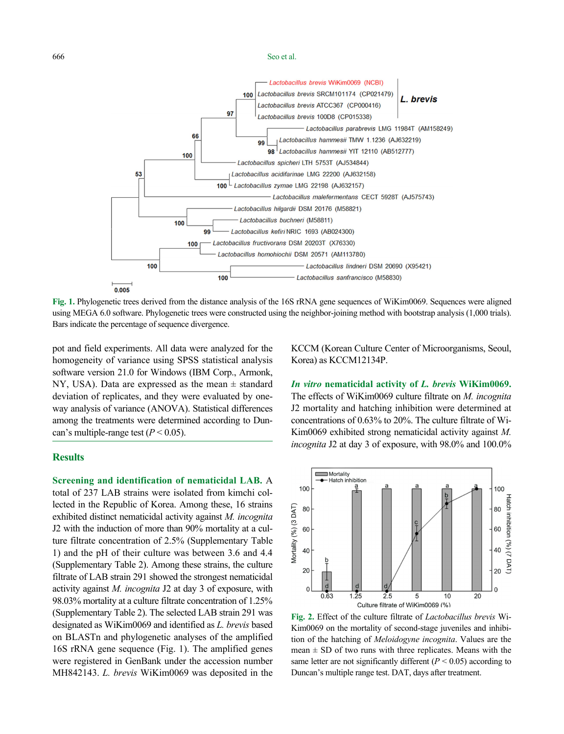666 Seo et al.



**Fig. 1.** Phylogenetic trees derived from the distance analysis of the 16S rRNA gene sequences of WiKim0069. Sequences were aligned using MEGA 6.0 software. Phylogenetic trees were constructed using the neighbor-joining method with bootstrap analysis (1,000 trials). Bars indicate the percentage of sequence divergence.

pot and field experiments. All data were analyzed for the homogeneity of variance using SPSS statistical analysis software version 21.0 for Windows (IBM Corp., Armonk, NY, USA). Data are expressed as the mean  $\pm$  standard deviation of replicates, and they were evaluated by oneway analysis of variance (ANOVA). Statistical differences among the treatments were determined according to Duncan's multiple-range test  $(P < 0.05)$ .

# **Results**

**Screening and identification of nematicidal LAB.** A total of 237 LAB strains were isolated from kimchi collected in the Republic of Korea. Among these, 16 strains exhibited distinct nematicidal activity against *M. incognita* J2 with the induction of more than 90% mortality at a culture filtrate concentration of 2.5% (Supplementary Table 1) and the pH of their culture was between 3.6 and 4.4 (Supplementary Table 2). Among these strains, the culture filtrate of LAB strain 291 showed the strongest nematicidal activity against *M. incognita* J2 at day 3 of exposure, with 98.03% mortality at a culture filtrate concentration of 1.25% (Supplementary Table 2). The selected LAB strain 291 was designated as WiKim0069 and identified as *L. brevis* based on BLASTn and phylogenetic analyses of the amplified 16S rRNA gene sequence (Fig. 1). The amplified genes were registered in GenBank under the accession number MH842143. *L. brevis* WiKim0069 was deposited in the

KCCM (Korean Culture Center of Microorganisms, Seoul, Korea) as KCCM12134P.

*In vitro* **nematicidal activity of** *L. brevis* **WiKim0069.**  The effects of WiKim0069 culture filtrate on *M. incognita* J2 mortality and hatching inhibition were determined at concentrations of 0.63% to 20%. The culture filtrate of Wi-Kim0069 exhibited strong nematicidal activity against *M. incognita* J2 at day 3 of exposure, with 98.0% and 100.0%



**Fig. 2.** Effect of the culture filtrate of *Lactobacillus brevis* Wi-Kim0069 on the mortality of second-stage juveniles and inhibition of the hatching of *Meloidogyne incognita*. Values are the mean  $\pm$  SD of two runs with three replicates. Means with the same letter are not significantly different  $(P < 0.05)$  according to Duncan's multiple range test. DAT, days after treatment.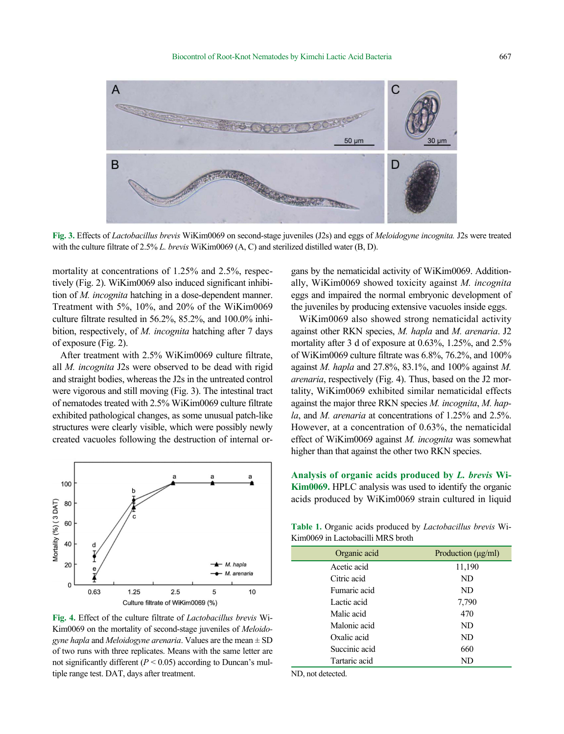

**Fig. 3.** Effects of *Lactobacillus brevis* WiKim0069 on second-stage juveniles (J2s) and eggs of *Meloidogyne incognita.* J2s were treated with the culture filtrate of 2.5% *L. brevis* WiKim0069 (A, C) and sterilized distilled water (B, D).

mortality at concentrations of 1.25% and 2.5%, respectively (Fig. 2). WiKim0069 also induced significant inhibition of *M. incognita* hatching in a dose-dependent manner. Treatment with 5%, 10%, and 20% of the WiKim0069 culture filtrate resulted in 56.2%, 85.2%, and 100.0% inhibition, respectively, of *M. incognita* hatching after 7 days of exposure (Fig. 2).

After treatment with 2.5% WiKim0069 culture filtrate, all *M. incognita* J2s were observed to be dead with rigid and straight bodies, whereas the J2s in the untreated control were vigorous and still moving (Fig. 3). The intestinal tract of nematodes treated with 2.5% WiKim0069 culture filtrate exhibited pathological changes, as some unusual patch-like structures were clearly visible, which were possibly newly created vacuoles following the destruction of internal or-



**Fig. 4.** Effect of the culture filtrate of *Lactobacillus brevis* Wi-Kim0069 on the mortality of second-stage juveniles of *Meloidogyne hapla* and *Meloidogyne arenaria*. Values are the mean ± SD of two runs with three replicates. Means with the same letter are not significantly different  $(P < 0.05)$  according to Duncan's multiple range test. DAT, days after treatment.

gans by the nematicidal activity of WiKim0069. Additionally, WiKim0069 showed toxicity against *M. incognita* eggs and impaired the normal embryonic development of the juveniles by producing extensive vacuoles inside eggs.

WiKim0069 also showed strong nematicidal activity against other RKN species, *M. hapla* and *M. arenaria*. J2 mortality after 3 d of exposure at 0.63%, 1.25%, and 2.5% of WiKim0069 culture filtrate was 6.8%, 76.2%, and 100% against *M. hapla* and 27.8%, 83.1%, and 100% against *M. arenaria*, respectively (Fig. 4). Thus, based on the J2 mortality, WiKim0069 exhibited similar nematicidal effects against the major three RKN species *M. incognita*, *M. hapla*, and *M. arenaria* at concentrations of 1.25% and 2.5%. However, at a concentration of 0.63%, the nematicidal effect of WiKim0069 against *M. incognita* was somewhat higher than that against the other two RKN species.

**Analysis of organic acids produced by** *L. brevis* **Wi-Kim0069.** HPLC analysis was used to identify the organic acids produced by WiKim0069 strain cultured in liquid

**Table 1.** Organic acids produced by *Lactobacillus brevis* Wi-Kim0069 in Lactobacilli MRS broth

| Production $(\mu g/ml)$ |
|-------------------------|
| 11,190                  |
| ND                      |
| ND                      |
| 7,790                   |
| 470                     |
| ND                      |
| ND                      |
| 660                     |
| ND                      |
|                         |

ND, not detected.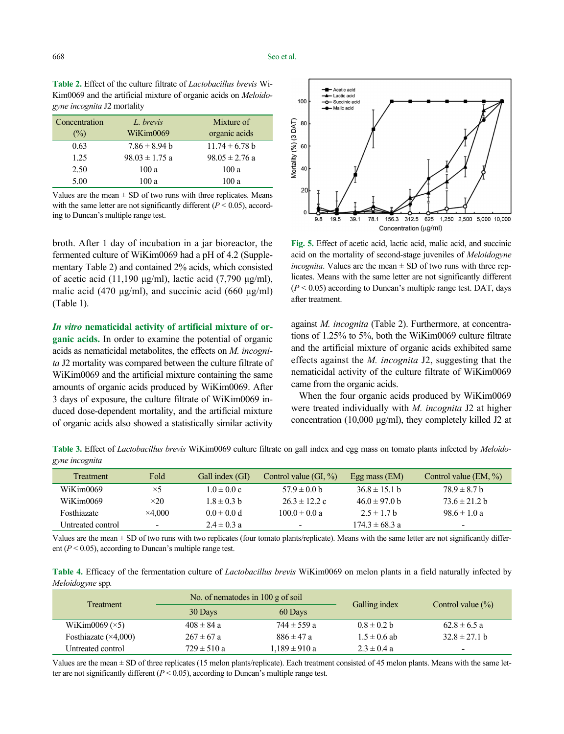| <b>Table 2.</b> Effect of the culture filtrate of <i>Lactobacillus brevis</i> Wi- |
|-----------------------------------------------------------------------------------|
| Kim0069 and the artificial mixture of organic acids on <i>Meloido</i> -           |
| <i>gyne incognita</i> J2 mortality                                                |

| Concentration<br>$\frac{1}{2}$ | L. brevis<br>WiKim0069 | Mixture of<br>organic acids |
|--------------------------------|------------------------|-----------------------------|
| 0.63                           | $7.86 \pm 8.94$ b      | $11.74 \pm 6.78$ b          |
| 1.25                           | $98.03 \pm 1.75$ a     | $98.05 \pm 2.76$ a          |
| 2.50                           | 100a                   | 100a                        |
| 5.00                           | 100 a                  | 100a                        |

Values are the mean  $\pm$  SD of two runs with three replicates. Means with the same letter are not significantly different  $(P < 0.05)$ , according to Duncan's multiple range test.

broth. After 1 day of incubation in a jar bioreactor, the fermented culture of WiKim0069 had a pH of 4.2 (Supplementary Table 2) and contained 2% acids, which consisted of acetic acid (11,190 μg/ml), lactic acid (7,790 μg/ml), malic acid (470 μg/ml), and succinic acid (660 μg/ml) (Table 1).

*In vitro* **nematicidal activity of artificial mixture of organic acids.** In order to examine the potential of organic acids as nematicidal metabolites, the effects on *M. incognita* J2 mortality was compared between the culture filtrate of WiKim0069 and the artificial mixture containing the same amounts of organic acids produced by WiKim0069. After 3 days of exposure, the culture filtrate of WiKim0069 induced dose-dependent mortality, and the artificial mixture of organic acids also showed a statistically similar activity



**Fig. 5.** Effect of acetic acid, lactic acid, malic acid, and succinic acid on the mortality of second-stage juveniles of *Meloidogyne incognita*. Values are the mean  $\pm$  SD of two runs with three replicates. Means with the same letter are not significantly different  $(P < 0.05)$  according to Duncan's multiple range test. DAT, days after treatment.

against *M. incognita* (Table 2). Furthermore, at concentrations of 1.25% to 5%, both the WiKim0069 culture filtrate and the artificial mixture of organic acids exhibited same effects against the *M. incognita* J2, suggesting that the nematicidal activity of the culture filtrate of WiKim0069 came from the organic acids.

When the four organic acids produced by WiKim0069 were treated individually with *M. incognita* J2 at higher concentration (10,000 μg/ml), they completely killed J2 at

**Table 3.** Effect of *Lactobacillus brevis* WiKim0069 culture filtrate on gall index and egg mass on tomato plants infected by *Meloidogyne incognita*

| <b>Treatment</b>  | Fold                     | Gall index (GI) | Control value $(GI, \%)$ | Egg mass $(EM)$    | Control value $(EM, \% )$ |
|-------------------|--------------------------|-----------------|--------------------------|--------------------|---------------------------|
| WiKim0069         | $\times$ 5               | $1.0 \pm 0.0 c$ | $57.9 \pm 0.0$ b         | $36.8 \pm 15.1$ b  | $78.9 \pm 8.7 h$          |
| WiKim0069         | $\times 20$              | $1.8 \pm 0.3$ b | $26.3 \pm 12.2$ c        | $46.0 \pm 97.0$ b  | $73.6 \pm 21.2 b$         |
| Fosthiazate       | $\times4.000$            | $0.0 \pm 0.0 d$ | $100.0 \pm 0.0 a$        | $2.5 \pm 1.7$ b    | $98.6 \pm 1.0 a$          |
| Untreated control | $\overline{\phantom{0}}$ | $2.4 \pm 0.3 a$ | $\overline{\phantom{a}}$ | $174.3 \pm 68.3 a$ | $\overline{\phantom{a}}$  |

Values are the mean  $\pm$  SD of two runs with two replicates (four tomato plants/replicate). Means with the same letter are not significantly different  $(P < 0.05)$ , according to Duncan's multiple range test.

**Table 4.** Efficacy of the fermentation culture of *Lactobacillus brevis* WiKim0069 on melon plants in a field naturally infected by *Meloidogyne* spp*.*

| <b>Treatment</b>             | No. of nematodes in $100$ g of soil |                   |                  |                          |
|------------------------------|-------------------------------------|-------------------|------------------|--------------------------|
|                              | 30 Days                             | 60 Days           | Galling index    | Control value $(\% )$    |
| WiKim0069 $(\times 5)$       | $408 \pm 84 a$                      | $744 \pm 559$ a   | $0.8 \pm 0.2$ b  | $62.8 \pm 6.5 a$         |
| Fosthiazate $(\times 4,000)$ | $267 \pm 67$ a                      | $886 \pm 47$ a    | $1.5 \pm 0.6$ ab | $32.8 \pm 27.1$ b        |
| Untreated control            | $729 \pm 510 a$                     | $1.189 \pm 910 a$ | $2.3 \pm 0.4 a$  | $\overline{\phantom{0}}$ |

Values are the mean  $\pm$  SD of three replicates (15 melon plants/replicate). Each treatment consisted of 45 melon plants. Means with the same letter are not significantly different  $(P < 0.05)$ , according to Duncan's multiple range test.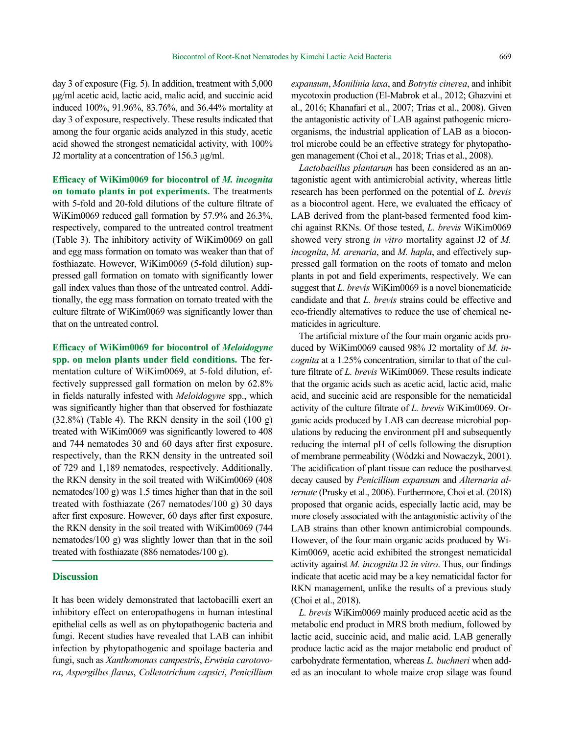day 3 of exposure (Fig. 5). In addition, treatment with 5,000 μg/ml acetic acid, lactic acid, malic acid, and succinic acid induced 100%, 91.96%, 83.76%, and 36.44% mortality at day 3 of exposure, respectively. These results indicated that among the four organic acids analyzed in this study, acetic acid showed the strongest nematicidal activity, with 100% J2 mortality at a concentration of 156.3 μg/ml.

**Efficacy of WiKim0069 for biocontrol of** *M. incognita*  **on tomato plants in pot experiments.** The treatments with 5-fold and 20-fold dilutions of the culture filtrate of WiKim0069 reduced gall formation by 57.9% and 26.3%, respectively, compared to the untreated control treatment (Table 3). The inhibitory activity of WiKim0069 on gall and egg mass formation on tomato was weaker than that of fosthiazate. However, WiKim0069 (5-fold dilution) suppressed gall formation on tomato with significantly lower gall index values than those of the untreated control. Additionally, the egg mass formation on tomato treated with the culture filtrate of WiKim0069 was significantly lower than that on the untreated control.

**Efficacy of WiKim0069 for biocontrol of** *Meloidogyne*  **spp. on melon plants under field conditions.** The fermentation culture of WiKim0069, at 5-fold dilution, effectively suppressed gall formation on melon by 62.8% in fields naturally infested with *Meloidogyne* spp., which was significantly higher than that observed for fosthiazate  $(32.8\%)$  (Table 4). The RKN density in the soil  $(100 g)$ treated with WiKim0069 was significantly lowered to 408 and 744 nematodes 30 and 60 days after first exposure, respectively, than the RKN density in the untreated soil of 729 and 1,189 nematodes, respectively. Additionally, the RKN density in the soil treated with WiKim0069 (408 nematodes/100 g) was 1.5 times higher than that in the soil treated with fosthiazate (267 nematodes/100 g) 30 days after first exposure. However, 60 days after first exposure, the RKN density in the soil treated with WiKim0069 (744 nematodes/100 g) was slightly lower than that in the soil treated with fosthiazate (886 nematodes/100 g).

## **Discussion**

It has been widely demonstrated that lactobacilli exert an inhibitory effect on enteropathogens in human intestinal epithelial cells as well as on phytopathogenic bacteria and fungi. Recent studies have revealed that LAB can inhibit infection by phytopathogenic and spoilage bacteria and fungi, such as *Xanthomonas campestris*, *Erwinia carotovora*, *Aspergillus flavus*, *Colletotrichum capsici*, *Penicillium* 

*expansum*, *Monilinia laxa*, and *Botrytis cinerea*, and inhibit mycotoxin production (El-Mabrok et al., 2012; Ghazvini et al., 2016; Khanafari et al., 2007; Trias et al., 2008). Given the antagonistic activity of LAB against pathogenic microorganisms, the industrial application of LAB as a biocontrol microbe could be an effective strategy for phytopathogen management (Choi et al., 2018; Trias et al., 2008).

*Lactobacillus plantarum* has been considered as an antagonistic agent with antimicrobial activity, whereas little research has been performed on the potential of *L. brevis* as a biocontrol agent. Here, we evaluated the efficacy of LAB derived from the plant-based fermented food kimchi against RKNs. Of those tested, *L. brevis* WiKim0069 showed very strong *in vitro* mortality against J2 of *M. incognita*, *M. arenaria*, and *M. hapla*, and effectively suppressed gall formation on the roots of tomato and melon plants in pot and field experiments, respectively. We can suggest that *L. brevis* WiKim0069 is a novel bionematicide candidate and that *L. brevis* strains could be effective and eco-friendly alternatives to reduce the use of chemical nematicides in agriculture.

The artificial mixture of the four main organic acids produced by WiKim0069 caused 98% J2 mortality of *M. incognita* at a 1.25% concentration, similar to that of the culture filtrate of *L. brevis* WiKim0069. These results indicate that the organic acids such as acetic acid, lactic acid, malic acid, and succinic acid are responsible for the nematicidal activity of the culture filtrate of *L. brevis* WiKim0069. Organic acids produced by LAB can decrease microbial populations by reducing the environment pH and subsequently reducing the internal pH of cells following the disruption of membrane permeability (Wódzki and Nowaczyk, 2001). The acidification of plant tissue can reduce the postharvest decay caused by *Penicillium expansum* and *Alternaria alternate* (Prusky et al., 2006). Furthermore, Choi et al*.* (2018) proposed that organic acids, especially lactic acid, may be more closely associated with the antagonistic activity of the LAB strains than other known antimicrobial compounds. However, of the four main organic acids produced by Wi-Kim0069, acetic acid exhibited the strongest nematicidal activity against *M. incognita* J2 *in vitro*. Thus, our findings indicate that acetic acid may be a key nematicidal factor for RKN management, unlike the results of a previous study (Choi et al., 2018).

*L. brevis* WiKim0069 mainly produced acetic acid as the metabolic end product in MRS broth medium, followed by lactic acid, succinic acid, and malic acid. LAB generally produce lactic acid as the major metabolic end product of carbohydrate fermentation, whereas *L. buchneri* when added as an inoculant to whole maize crop silage was found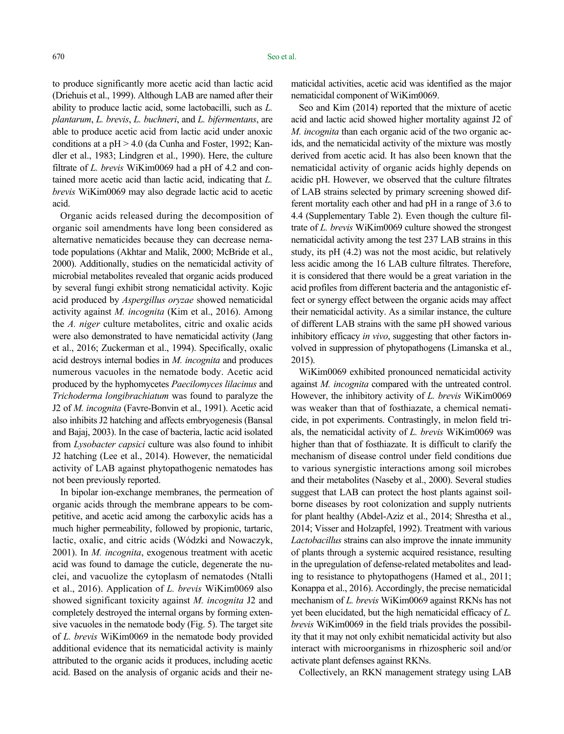to produce significantly more acetic acid than lactic acid (Driehuis et al., 1999). Although LAB are named after their ability to produce lactic acid, some lactobacilli, such as *L. plantarum*, *L. brevis*, *L. buchneri*, and *L. bifermentans*, are able to produce acetic acid from lactic acid under anoxic conditions at a pH > 4.0 (da Cunha and Foster, 1992; Kandler et al., 1983; Lindgren et al., 1990). Here, the culture filtrate of *L. brevis* WiKim0069 had a pH of 4.2 and contained more acetic acid than lactic acid, indicating that *L. brevis* WiKim0069 may also degrade lactic acid to acetic acid.

Organic acids released during the decomposition of organic soil amendments have long been considered as alternative nematicides because they can decrease nematode populations (Akhtar and Malik, 2000; McBride et al., 2000). Additionally, studies on the nematicidal activity of microbial metabolites revealed that organic acids produced by several fungi exhibit strong nematicidal activity. Kojic acid produced by *Aspergillus oryzae* showed nematicidal activity against *M. incognita* (Kim et al., 2016). Among the *A. niger* culture metabolites, citric and oxalic acids were also demonstrated to have nematicidal activity (Jang et al., 2016; Zuckerman et al., 1994). Specifically, oxalic acid destroys internal bodies in *M. incognita* and produces numerous vacuoles in the nematode body. Acetic acid produced by the hyphomycetes *Paecilomyces lilacinus* and *Trichoderma longibrachiatum* was found to paralyze the J2 of *M. incognita* (Favre-Bonvin et al., 1991). Acetic acid also inhibits J2 hatching and affects embryogenesis (Bansal and Bajaj, 2003). In the case of bacteria, lactic acid isolated from *Lysobacter capsici* culture was also found to inhibit J2 hatching (Lee et al., 2014). However, the nematicidal activity of LAB against phytopathogenic nematodes has not been previously reported.

In bipolar ion-exchange membranes, the permeation of organic acids through the membrane appears to be competitive, and acetic acid among the carboxylic acids has a much higher permeability, followed by propionic, tartaric, lactic, oxalic, and citric acids (Wódzki and Nowaczyk, 2001). In *M. incognita*, exogenous treatment with acetic acid was found to damage the cuticle, degenerate the nuclei, and vacuolize the cytoplasm of nematodes (Ntalli et al., 2016). Application of *L. brevis* WiKim0069 also showed significant toxicity against *M. incognita* J2 and completely destroyed the internal organs by forming extensive vacuoles in the nematode body (Fig. 5). The target site of *L. brevis* WiKim0069 in the nematode body provided additional evidence that its nematicidal activity is mainly attributed to the organic acids it produces, including acetic acid. Based on the analysis of organic acids and their nematicidal activities, acetic acid was identified as the major nematicidal component of WiKim0069.

Seo and Kim (2014) reported that the mixture of acetic acid and lactic acid showed higher mortality against J2 of *M. incognita* than each organic acid of the two organic acids, and the nematicidal activity of the mixture was mostly derived from acetic acid. It has also been known that the nematicidal activity of organic acids highly depends on acidic pH. However, we observed that the culture filtrates of LAB strains selected by primary screening showed different mortality each other and had pH in a range of 3.6 to 4.4 (Supplementary Table 2). Even though the culture filtrate of *L. brevis* WiKim0069 culture showed the strongest nematicidal activity among the test 237 LAB strains in this study, its pH (4.2) was not the most acidic, but relatively less acidic among the 16 LAB culture filtrates. Therefore, it is considered that there would be a great variation in the acid profiles from different bacteria and the antagonistic effect or synergy effect between the organic acids may affect their nematicidal activity. As a similar instance, the culture of different LAB strains with the same pH showed various inhibitory efficacy *in vivo*, suggesting that other factors involved in suppression of phytopathogens (Limanska et al., 2015).

WiKim0069 exhibited pronounced nematicidal activity against *M. incognita* compared with the untreated control. However, the inhibitory activity of *L. brevis* WiKim0069 was weaker than that of fosthiazate, a chemical nematicide, in pot experiments. Contrastingly, in melon field trials, the nematicidal activity of *L. brevis* WiKim0069 was higher than that of fosthiazate. It is difficult to clarify the mechanism of disease control under field conditions due to various synergistic interactions among soil microbes and their metabolites (Naseby et al., 2000). Several studies suggest that LAB can protect the host plants against soilborne diseases by root colonization and supply nutrients for plant healthy (Abdel-Aziz et al., 2014; Shrestha et al., 2014; Visser and Holzapfel, 1992). Treatment with various *Lactobacillus* strains can also improve the innate immunity of plants through a systemic acquired resistance, resulting in the upregulation of defense-related metabolites and leading to resistance to phytopathogens (Hamed et al., 2011; Konappa et al., 2016). Accordingly, the precise nematicidal mechanism of *L. brevis* WiKim0069 against RKNs has not yet been elucidated, but the high nematicidal efficacy of *L. brevis* WiKim0069 in the field trials provides the possibility that it may not only exhibit nematicidal activity but also interact with microorganisms in rhizospheric soil and/or activate plant defenses against RKNs.

Collectively, an RKN management strategy using LAB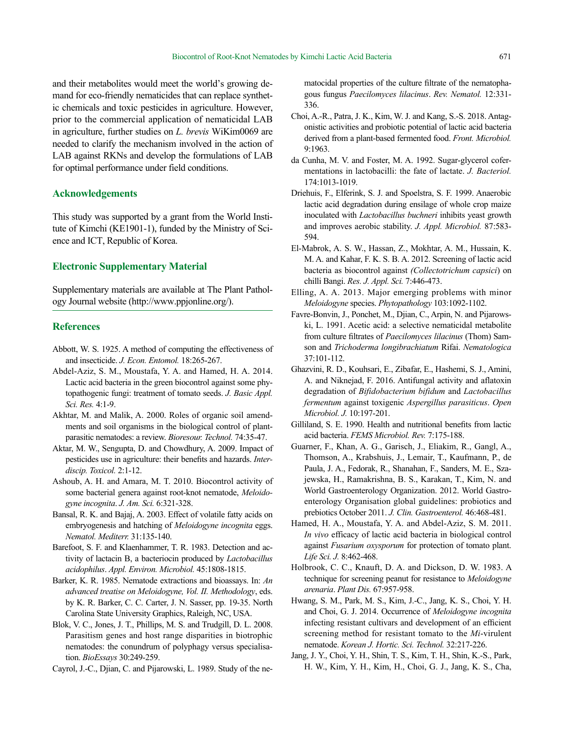and their metabolites would meet the world's growing demand for eco-friendly nematicides that can replace synthetic chemicals and toxic pesticides in agriculture. However, prior to the commercial application of nematicidal LAB in agriculture, further studies on *L. brevis* WiKim0069 are needed to clarify the mechanism involved in the action of LAB against RKNs and develop the formulations of LAB for optimal performance under field conditions.

# **Acknowledgements**

This study was supported by a grant from the World Institute of Kimchi (KE1901-1), funded by the Ministry of Science and ICT, Republic of Korea.

# **Electronic Supplementary Material**

Supplementary materials are available at The Plant Pathology Journal website (http://www.ppjonline.org/).

# **References**

- Abbott, W. S. 1925. A method of computing the effectiveness of and insecticide. *J. Econ. Entomol.* 18:265-267.
- Abdel-Aziz, S. M., Moustafa, Y. A. and Hamed, H. A. 2014. Lactic acid bacteria in the green biocontrol against some phytopathogenic fungi: treatment of tomato seeds. *J. Basic Appl. Sci. Res.* 4:1-9.
- Akhtar, M. and Malik, A. 2000. Roles of organic soil amendments and soil organisms in the biological control of plantparasitic nematodes: a review. *Bioresour. Technol.* 74:35-47.
- Aktar, M. W., Sengupta, D. and Chowdhury, A. 2009. Impact of pesticides use in agriculture: their benefits and hazards. *Interdiscip. Toxicol.* 2:1-12.
- Ashoub, A. H. and Amara, M. T. 2010. Biocontrol activity of some bacterial genera against root-knot nematode, *Meloidogyne incognita*. *J. Am. Sci.* 6:321-328.
- Bansal, R. K. and Bajaj, A. 2003. Effect of volatile fatty acids on embryogenesis and hatching of *Meloidogyne incognita* eggs. *Nematol. Mediterr.* 31:135-140.
- Barefoot, S. F. and Klaenhammer, T. R. 1983. Detection and activity of lactacin B, a bacteriocin produced by *Lactobacillus acidophilus*. *Appl. Environ. Microbiol.* 45:1808-1815.
- Barker, K. R. 1985. Nematode extractions and bioassays. In: *An advanced treatise on Meloidogyne, Vol. II. Methodology*, eds. by K. R. Barker, C. C. Carter, J. N. Sasser, pp. 19-35. North Carolina State University Graphics, Raleigh, NC, USA.
- Blok, V. C., Jones, J. T., Phillips, M. S. and Trudgill, D. L. 2008. Parasitism genes and host range disparities in biotrophic nematodes: the conundrum of polyphagy versus specialisation. *BioEssays* 30:249-259.
- Cayrol, J.-C., Djian, C. and Pijarowski, L. 1989. Study of the ne-

matocidal properties of the culture filtrate of the nematophagous fungus *Paecilomyces lilacinus*. *Rev. Nematol.* 12:331- 336.

- Choi, A.-R., Patra, J. K., Kim, W. J. and Kang, S.-S. 2018. Antagonistic activities and probiotic potential of lactic acid bacteria derived from a plant-based fermented food. *Front. Microbiol.* 9:1963.
- da Cunha, M. V. and Foster, M. A. 1992. Sugar-glycerol cofermentations in lactobacilli: the fate of lactate. *J. Bacteriol.* 174:1013-1019.
- Driehuis, F., Elferink, S. J. and Spoelstra, S. F. 1999. Anaerobic lactic acid degradation during ensilage of whole crop maize inoculated with *Lactobacillus buchneri* inhibits yeast growth and improves aerobic stability. *J. Appl. Microbiol.* 87:583- 594.
- El-Mabrok, A. S. W., Hassan, Z., Mokhtar, A. M., Hussain, K. M. A. and Kahar, F. K. S. B. A. 2012. Screening of lactic acid bacteria as biocontrol against *(Collectotrichum capsici*) on chilli Bangi. *Res. J. Appl. Sci.* 7:446-473.
- Elling, A. A. 2013. Major emerging problems with minor *Meloidogyne* species. *Phytopathology* 103:1092-1102.
- Favre-Bonvin, J., Ponchet, M., Djian, C., Arpin, N. and Pijarowski, L. 1991. Acetic acid: a selective nematicidal metabolite from culture filtrates of *Paecilomyces lilacinus* (Thom) Samson and *Trichoderma longibrachiatum* Rifai. *Nematologica* 37:101-112.
- Ghazvini, R. D., Kouhsari, E., Zibafar, E., Hashemi, S. J., Amini, A. and Niknejad, F. 2016. Antifungal activity and aflatoxin degradation of *Bifidobacterium bifidum* and *Lactobacillus fermentum* against toxigenic *Aspergillus parasiticus*. *Open Microbiol. J.* 10:197-201.
- Gilliland, S. E. 1990. Health and nutritional benefits from lactic acid bacteria. *FEMS Microbiol. Rev.* 7:175-188.
- Guarner, F., Khan, A. G., Garisch, J., Eliakim, R., Gangl, A., Thomson, A., Krabshuis, J., Lemair, T., Kaufmann, P., de Paula, J. A., Fedorak, R., Shanahan, F., Sanders, M. E., Szajewska, H., Ramakrishna, B. S., Karakan, T., Kim, N. and World Gastroenterology Organization. 2012. World Gastroenterology Organisation global guidelines: probiotics and prebiotics October 2011. *J. Clin. Gastroenterol.* 46:468-481.
- Hamed, H. A., Moustafa, Y. A. and Abdel-Aziz, S. M. 2011. *In vivo* efficacy of lactic acid bacteria in biological control against *Fusarium oxysporum* for protection of tomato plant. *Life Sci. J.* 8:462-468.
- Holbrook, C. C., Knauft, D. A. and Dickson, D. W. 1983. A technique for screening peanut for resistance to *Meloidogyne arenaria*. *Plant Dis.* 67:957-958.
- Hwang, S. M., Park, M. S., Kim, J.-C., Jang, K. S., Choi, Y. H. and Choi, G. J. 2014. Occurrence of *Meloidogyne incognita* infecting resistant cultivars and development of an efficient screening method for resistant tomato to the *Mi*-virulent nematode. *Korean J. Hortic. Sci. Technol.* 32:217-226.
- Jang, J. Y., Choi, Y. H., Shin, T. S., Kim, T. H., Shin, K.-S., Park, H. W., Kim, Y. H., Kim, H., Choi, G. J., Jang, K. S., Cha,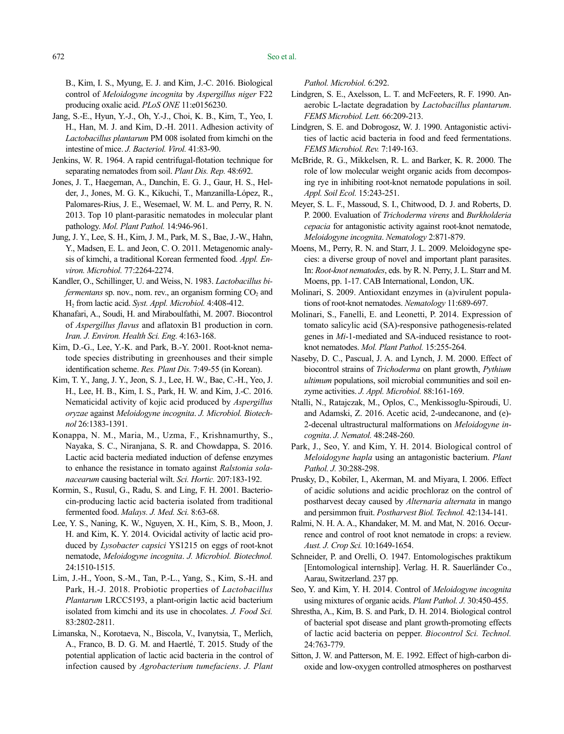B., Kim, I. S., Myung, E. J. and Kim, J.-C. 2016. Biological control of *Meloidogyne incognita* by *Aspergillus niger* F22 producing oxalic acid. *PLoS ONE* 11:e0156230.

- Jang, S.-E., Hyun, Y.-J., Oh, Y.-J., Choi, K. B., Kim, T., Yeo, I. H., Han, M. J. and Kim, D.-H. 2011. Adhesion activity of *Lactobacillus plantarum* PM 008 isolated from kimchi on the intestine of mice. *J. Bacteriol. Virol.* 41:83-90.
- Jenkins, W. R. 1964. A rapid centrifugal-flotation technique for separating nematodes from soil. *Plant Dis. Rep.* 48:692.
- Jones, J. T., Haegeman, A., Danchin, E. G. J., Gaur, H. S., Helder, J., Jones, M. G. K., Kikuchi, T., Manzanilla-López, R., Palomares-Rius, J. E., Wesemael, W. M. L. and Perry, R. N. 2013. Top 10 plant-parasitic nematodes in molecular plant pathology. *Mol. Plant Pathol.* 14:946-961.
- Jung, J. Y., Lee, S. H., Kim, J. M., Park, M. S., Bae, J.-W., Hahn, Y., Madsen, E. L. and Jeon, C. O. 2011. Metagenomic analysis of kimchi, a traditional Korean fermented food. *Appl. Environ. Microbiol.* 77:2264-2274.
- Kandler, O., Schillinger, U. and Weiss, N. 1983. *Lactobacillus bifermentans sp. nov., nom. rev., an organism forming*  $CO<sub>2</sub>$  *and* H2 from lactic acid. *Syst. Appl. Microbiol.* 4:408-412.
- Khanafari, A., Soudi, H. and Miraboulfathi, M. 2007. Biocontrol of *Aspergillus flavus* and aflatoxin B1 production in corn. *Iran. J. Environ. Health Sci. Eng.* 4:163-168.
- Kim, D.-G., Lee, Y.-K. and Park, B.-Y. 2001. Root-knot nematode species distributing in greenhouses and their simple identification scheme. *Res. Plant Dis.* 7:49-55 (in Korean).
- Kim, T. Y., Jang, J. Y., Jeon, S. J., Lee, H. W., Bae, C.-H., Yeo, J. H., Lee, H. B., Kim, I. S., Park, H. W. and Kim, J.-C. 2016. Nematicidal activity of kojic acid produced by *Aspergillus oryzae* against *Meloidogyne incognita*. *J. Microbiol. Biotechnol* 26:1383-1391.
- Konappa, N. M., Maria, M., Uzma, F., Krishnamurthy, S., Nayaka, S. C., Niranjana, S. R. and Chowdappa, S. 2016. Lactic acid bacteria mediated induction of defense enzymes to enhance the resistance in tomato against *Ralstonia solanacearum* causing bacterial wilt. *Sci. Hortic.* 207:183-192.
- Kormin, S., Rusul, G., Radu, S. and Ling, F. H. 2001. Bacteriocin-producing lactic acid bacteria isolated from traditional fermented food. *Malays. J. Med. Sci.* 8:63-68.
- Lee, Y. S., Naning, K. W., Nguyen, X. H., Kim, S. B., Moon, J. H. and Kim, K. Y. 2014. Ovicidal activity of lactic acid produced by *Lysobacter capsici* YS1215 on eggs of root-knot nematode, *Meloidogyne incognita*. *J. Microbiol. Biotechnol.* 24:1510-1515.
- Lim, J.-H., Yoon, S.-M., Tan, P.-L., Yang, S., Kim, S.-H. and Park, H.-J. 2018. Probiotic properties of *Lactobacillus Plantarum* LRCC5193, a plant-origin lactic acid bacterium isolated from kimchi and its use in chocolates. *J. Food Sci.* 83:2802-2811.
- Limanska, N., Korotaeva, N., Biscola, V., Ivanytsia, T., Merlich, A., Franco, B. D. G. M. and Haertlé, T. 2015. Study of the potential application of lactic acid bacteria in the control of infection caused by *Agrobacterium tumefaciens*. *J. Plant*

*Pathol. Microbiol.* 6:292.

- Lindgren, S. E., Axelsson, L. T. and McFeeters, R. F. 1990. Anaerobic L-lactate degradation by *Lactobacillus plantarum*. *FEMS Microbiol. Lett.* 66:209-213.
- Lindgren, S. E. and Dobrogosz, W. J. 1990. Antagonistic activities of lactic acid bacteria in food and feed fermentations. *FEMS Microbiol. Rev.* 7:149-163.
- McBride, R. G., Mikkelsen, R. L. and Barker, K. R. 2000. The role of low molecular weight organic acids from decomposing rye in inhibiting root-knot nematode populations in soil. *Appl. Soil Ecol.* 15:243-251.
- Meyer, S. L. F., Massoud, S. I., Chitwood, D. J. and Roberts, D. P. 2000. Evaluation of *Trichoderma virens* and *Burkholderia cepacia* for antagonistic activity against root-knot nematode, *Meloidogyne incognita*. *Nematology* 2:871-879.
- Moens, M., Perry, R. N. and Starr, J. L. 2009. Meloidogyne species: a diverse group of novel and important plant parasites. In: *Root-knot nematodes*, eds. by R. N. Perry, J. L. Starr and M. Moens, pp. 1-17. CAB International, London, UK.
- Molinari, S. 2009. Antioxidant enzymes in (a)virulent populations of root-knot nematodes. *Nematology* 11:689-697.
- Molinari, S., Fanelli, E. and Leonetti, P. 2014. Expression of tomato salicylic acid (SA)-responsive pathogenesis-related genes in *Mi*-1-mediated and SA-induced resistance to rootknot nematodes. *Mol. Plant Pathol.* 15:255-264.
- Naseby, D. C., Pascual, J. A. and Lynch, J. M. 2000. Effect of biocontrol strains of *Trichoderma* on plant growth, *Pythium ultimum* populations, soil microbial communities and soil enzyme activities. *J. Appl. Microbiol.* 88:161-169.
- Ntalli, N., Ratajczak, M., Oplos, C., Menkissoglu-Spiroudi, U. and Adamski, Z. 2016. Acetic acid, 2-undecanone, and (e)- 2-decenal ultrastructural malformations on *Meloidogyne incognita*. *J. Nematol.* 48:248-260.
- Park, J., Seo, Y. and Kim, Y. H. 2014. Biological control of *Meloidogyne hapla* using an antagonistic bacterium. *Plant Pathol. J.* 30:288-298.
- Prusky, D., Kobiler, I., Akerman, M. and Miyara, I. 2006. Effect of acidic solutions and acidic prochloraz on the control of postharvest decay caused by *Alternaria alternata* in mango and persimmon fruit. *Postharvest Biol. Technol.* 42:134-141.
- Ralmi, N. H. A. A., Khandaker, M. M. and Mat, N. 2016. Occurrence and control of root knot nematode in crops: a review. *Aust. J. Crop Sci.* 10:1649-1654.
- Schneider, P. and Orelli, O. 1947. Entomologisches praktikum [Entomological internship]. Verlag. H. R. Sauerländer Co., Aarau, Switzerland. 237 pp.
- Seo, Y. and Kim, Y. H. 2014. Control of *Meloidogyne incognita* using mixtures of organic acids. *Plant Pathol. J.* 30:450-455.
- Shrestha, A., Kim, B. S. and Park, D. H. 2014. Biological control of bacterial spot disease and plant growth-promoting effects of lactic acid bacteria on pepper. *Biocontrol Sci. Technol.* 24:763-779.
- Sitton, J. W. and Patterson, M. E. 1992. Effect of high-carbon dioxide and low-oxygen controlled atmospheres on postharvest